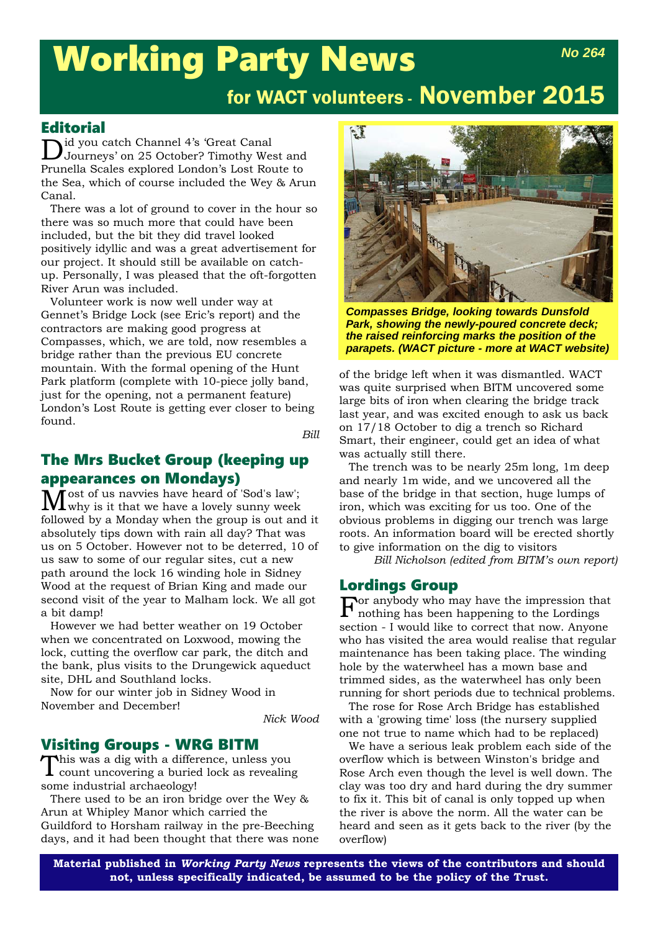# Working Party News *No 264*

# for WACT volunteers - November 2015

#### **Editorial**

id you catch Channel 4's 'Great Canal Journeys' on 25 October? Timothy West and Prunella Scales explored London's Lost Route to the Sea, which of course included the Wey & Arun Canal.

There was a lot of ground to cover in the hour so there was so much more that could have been included, but the bit they did travel looked positively idyllic and was a great advertisement for our project. It should still be available on catchup. Personally, I was pleased that the oft-forgotten River Arun was included.

Volunteer work is now well under way at Gennet's Bridge Lock (see Eric's report) and the contractors are making good progress at Compasses, which, we are told, now resembles a bridge rather than the previous EU concrete mountain. With the formal opening of the Hunt Park platform (complete with 10-piece jolly band, just for the opening, not a permanent feature) London's Lost Route is getting ever closer to being found.

*Bill*

# The Mrs Bucket Group (keeping up appearances on Mondays)

Most of us navvies have heard of 'Sod's law'; why is it that we have a lovely sunny week followed by a Monday when the group is out and it absolutely tips down with rain all day? That was us on 5 October. However not to be deterred, 10 of us saw to some of our regular sites, cut a new path around the lock 16 winding hole in Sidney Wood at the request of Brian King and made our second visit of the year to Malham lock. We all got a bit damp!

However we had better weather on 19 October when we concentrated on Loxwood, mowing the lock, cutting the overflow car park, the ditch and the bank, plus visits to the Drungewick aqueduct site, DHL and Southland locks.

Now for our winter job in Sidney Wood in November and December!

*Nick Wood*

# **Visiting Groups - WRG BITM**<br>This was a dig with a difference, unless you

This was a dig with a difference, unless you count uncovering a buried lock as revealing some industrial archaeology!

There used to be an iron bridge over the Wey & Arun at Whipley Manor which carried the Guildford to Horsham railway in the pre-Beeching days, and it had been thought that there was none



*Compasses Bridge, looking towards Dunsfold Park, showing the newly-poured concrete deck; the raised reinforcing marks the position of the parapets. (WACT picture - more at WACT website)*

of the bridge left when it was dismantled. WACT was quite surprised when BITM uncovered some large bits of iron when clearing the bridge track last year, and was excited enough to ask us back on 17/18 October to dig a trench so Richard Smart, their engineer, could get an idea of what was actually still there.

The trench was to be nearly 25m long, 1m deep and nearly 1m wide, and we uncovered all the base of the bridge in that section, huge lumps of iron, which was exciting for us too. One of the obvious problems in digging our trench was large roots. An information board will be erected shortly to give information on the dig to visitors

*Bill Nicholson (edited from BITM's own report)*

### Lordings Group

 $\Gamma$  any body who may have the impression that nothing has been happening to the Lordings section - I would like to correct that now. Anyone who has visited the area would realise that regular maintenance has been taking place. The winding hole by the waterwheel has a mown base and trimmed sides, as the waterwheel has only been running for short periods due to technical problems.

The rose for Rose Arch Bridge has established with a 'growing time' loss (the nursery supplied one not true to name which had to be replaced)

We have a serious leak problem each side of the overflow which is between Winston's bridge and Rose Arch even though the level is well down. The clay was too dry and hard during the dry summer to fix it. This bit of canal is only topped up when the river is above the norm. All the water can be heard and seen as it gets back to the river (by the overflow)

**Material published in** *Working Party News* **represents the views of the contributors and should not, unless specifically indicated, be assumed to be the policy of the Trust.**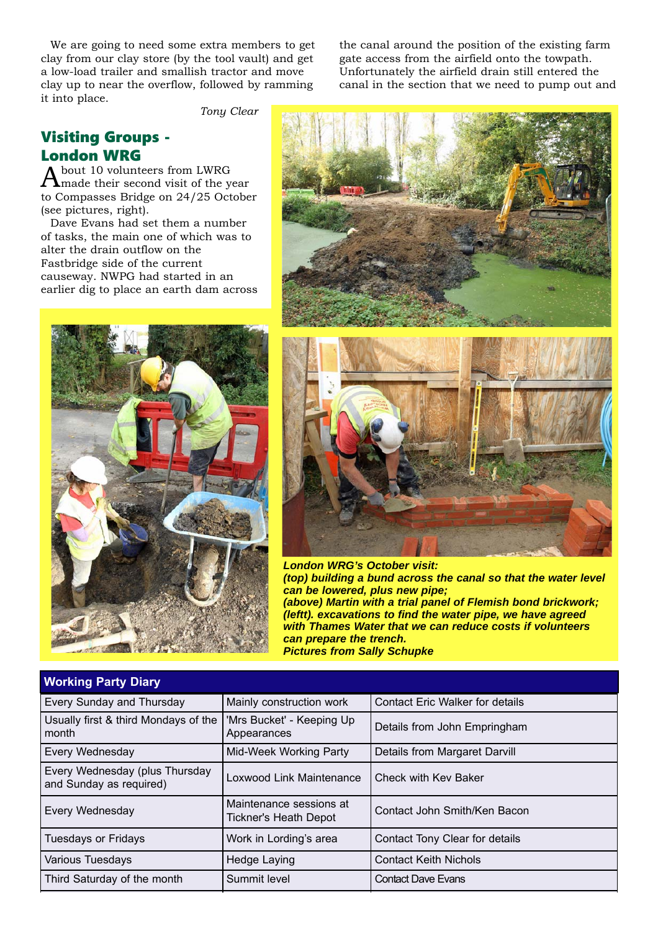We are going to need some extra members to get clay from our clay store (by the tool vault) and get a low-load trailer and smallish tractor and move clay up to near the overflow, followed by ramming it into place.

the canal around the position of the existing farm gate access from the airfield onto the towpath. Unfortunately the airfield drain still entered the canal in the section that we need to pump out and

*Tony Clear*

# Visiting Groups - London WRG

About 10 volunteers from LWRG made their second visit of the year to Compasses Bridge on 24/25 October (see pictures, right).

Dave Evans had set them a number of tasks, the main one of which was to alter the drain outflow on the Fastbridge side of the current causeway. NWPG had started in an earlier dig to place an earth dam across







*London WRG's October visit: (top) building a bund across the canal so that the water level can be lowered, plus new pipe; (above) Martin with a trial panel of Flemish bond brickwork; (leftt). excavations to find the water pipe, we have agreed with Thames Water that we can reduce costs if volunteers can prepare the trench. Pictures from Sally Schupke*

| <b>Working Party Diary</b>                                |                                                         |                                        |  |  |
|-----------------------------------------------------------|---------------------------------------------------------|----------------------------------------|--|--|
| Every Sunday and Thursday                                 | Mainly construction work                                | <b>Contact Eric Walker for details</b> |  |  |
| Usually first & third Mondays of the<br>month             | 'Mrs Bucket' - Keeping Up<br>Appearances                | Details from John Empringham           |  |  |
| Every Wednesday                                           | Mid-Week Working Party<br>Details from Margaret Darvill |                                        |  |  |
| Every Wednesday (plus Thursday<br>and Sunday as required) | Loxwood Link Maintenance<br>Check with Key Baker        |                                        |  |  |
| Every Wednesday                                           | Maintenance sessions at<br>Tickner's Heath Depot        | Contact John Smith/Ken Bacon           |  |  |
| <b>Tuesdays or Fridays</b>                                | Work in Lording's area                                  | Contact Tony Clear for details         |  |  |
| Various Tuesdays                                          | <b>Hedge Laying</b>                                     | <b>Contact Keith Nichols</b>           |  |  |
| Third Saturday of the month                               | Summit level                                            | <b>Contact Dave Evans</b>              |  |  |
|                                                           |                                                         |                                        |  |  |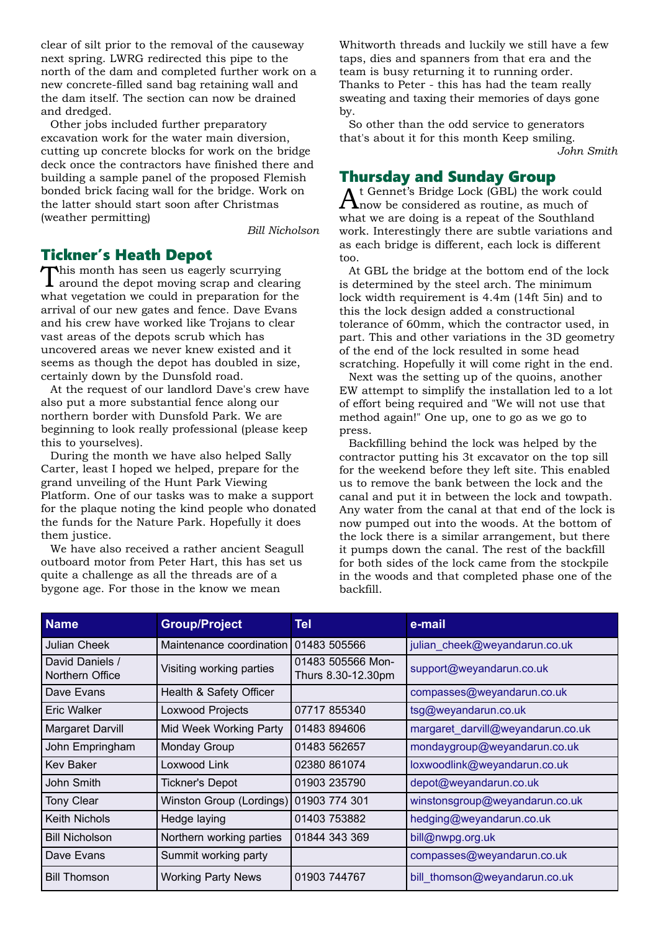clear of silt prior to the removal of the causeway next spring. LWRG redirected this pipe to the north of the dam and completed further work on a new concrete-filled sand bag retaining wall and the dam itself. The section can now be drained and dredged.

Other jobs included further preparatory excavation work for the water main diversion, cutting up concrete blocks for work on the bridge deck once the contractors have finished there and building a sample panel of the proposed Flemish bonded brick facing wall for the bridge. Work on the latter should start soon after Christmas (weather permitting)

*Bill Nicholson*

### Tickner's Heath Depot

This month has seen us eagerly scurrying  $\boldsymbol{\Gamma}$  around the depot moving scrap and clearing what vegetation we could in preparation for the arrival of our new gates and fence. Dave Evans and his crew have worked like Trojans to clear vast areas of the depots scrub which has uncovered areas we never knew existed and it seems as though the depot has doubled in size, certainly down by the Dunsfold road.

At the request of our landlord Dave's crew have also put a more substantial fence along our northern border with Dunsfold Park. We are beginning to look really professional (please keep this to yourselves).

During the month we have also helped Sally Carter, least I hoped we helped, prepare for the grand unveiling of the Hunt Park Viewing Platform. One of our tasks was to make a support for the plaque noting the kind people who donated the funds for the Nature Park. Hopefully it does them justice.

We have also received a rather ancient Seagull outboard motor from Peter Hart, this has set us quite a challenge as all the threads are of a bygone age. For those in the know we mean

Whitworth threads and luckily we still have a few taps, dies and spanners from that era and the team is busy returning it to running order. Thanks to Peter - this has had the team really sweating and taxing their memories of days gone by.

So other than the odd service to generators that's about it for this month Keep smiling. *John Smith*

# Thursday and Sunday Group

At Gennet's Bridge Lock (GBL) the work could now be considered as routine, as much of what we are doing is a repeat of the Southland work. Interestingly there are subtle variations and as each bridge is different, each lock is different too.

At GBL the bridge at the bottom end of the lock is determined by the steel arch. The minimum lock width requirement is 4.4m (14ft 5in) and to this the lock design added a constructional tolerance of 60mm, which the contractor used, in part. This and other variations in the 3D geometry of the end of the lock resulted in some head scratching. Hopefully it will come right in the end.

Next was the setting up of the quoins, another EW attempt to simplify the installation led to a lot of effort being required and "We will not use that method again!" One up, one to go as we go to press.

Backfilling behind the lock was helped by the contractor putting his 3t excavator on the top sill for the weekend before they left site. This enabled us to remove the bank between the lock and the canal and put it in between the lock and towpath. Any water from the canal at that end of the lock is now pumped out into the woods. At the bottom of the lock there is a similar arrangement, but there it pumps down the canal. The rest of the backfill for both sides of the lock came from the stockpile in the woods and that completed phase one of the backfill.

| <b>Name</b>                        | <b>Group/Project</b>                    | Tel                                     | e-mail                            |
|------------------------------------|-----------------------------------------|-----------------------------------------|-----------------------------------|
| Julian Cheek                       | Maintenance coordination   01483 505566 |                                         | julian cheek@weyandarun.co.uk     |
| David Daniels /<br>Northern Office | Visiting working parties                | 01483 505566 Mon-<br>Thurs 8.30-12.30pm | support@weyandarun.co.uk          |
| Dave Evans                         | Health & Safety Officer                 |                                         | compasses@weyandarun.co.uk        |
| <b>Eric Walker</b>                 | Loxwood Projects                        | 07717 855340                            | tsg@weyandarun.co.uk              |
| Margaret Darvill                   | Mid Week Working Party                  | 01483 894606                            | margaret_darvill@weyandarun.co.uk |
| John Empringham                    | <b>Monday Group</b>                     | 01483 562657                            | mondaygroup@weyandarun.co.uk      |
| <b>Kev Baker</b>                   | Loxwood Link                            | 02380 861074                            | loxwoodlink@weyandarun.co.uk      |
| John Smith                         | <b>Tickner's Depot</b>                  | 01903 235790                            | depot@weyandarun.co.uk            |
| <b>Tony Clear</b>                  | Winston Group (Lordings)                | 01903 774 301                           | winstonsgroup@weyandarun.co.uk    |
| <b>Keith Nichols</b>               | Hedge laying                            | 01403 753882                            | hedging@weyandarun.co.uk          |
| <b>Bill Nicholson</b>              | Northern working parties                | 01844 343 369                           | bill@nwpg.org.uk                  |
| Dave Evans                         | Summit working party                    |                                         | compasses@weyandarun.co.uk        |
| <b>Bill Thomson</b>                | <b>Working Party News</b>               | 01903 744767                            | bill_thomson@weyandarun.co.uk     |